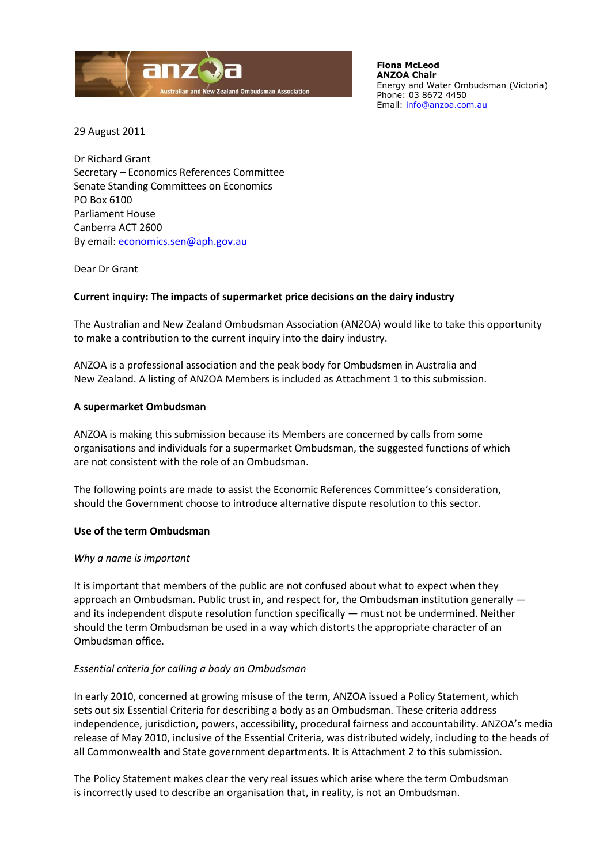

**Fiona McLeod ANZOA Chair** Energy and Water Ombudsman (Victoria) Phone: 03 8672 4450 Email: [info@anzoa.com.au](mailto:info@anzoa.com.au)

29 August 2011

Dr Richard Grant Secretary – Economics References Committee Senate Standing Committees on Economics PO Box 6100 Parliament House Canberra ACT 2600 By email: [economics.sen@aph.gov.au](mailto:economics.sen@aph.gov.au)

Dear Dr Grant

### **Current inquiry: The impacts of supermarket price decisions on the dairy industry**

The Australian and New Zealand Ombudsman Association (ANZOA) would like to take this opportunity to make a contribution to the current inquiry into the dairy industry.

ANZOA is a professional association and the peak body for Ombudsmen in Australia and New Zealand. A listing of ANZOA Members is included as Attachment 1 to this submission.

#### **A supermarket Ombudsman**

ANZOA is making this submission because its Members are concerned by calls from some organisations and individuals for a supermarket Ombudsman, the suggested functions of which are not consistent with the role of an Ombudsman.

The following points are made to assist the Economic References Committee's consideration, should the Government choose to introduce alternative dispute resolution to this sector.

### **Use of the term Ombudsman**

#### *Why a name is important*

It is important that members of the public are not confused about what to expect when they approach an Ombudsman. Public trust in, and respect for, the Ombudsman institution generally and its independent dispute resolution function specifically — must not be undermined. Neither should the term Ombudsman be used in a way which distorts the appropriate character of an Ombudsman office.

### *Essential criteria for calling a body an Ombudsman*

In early 2010, concerned at growing misuse of the term, ANZOA issued a Policy Statement, which sets out six Essential Criteria for describing a body as an Ombudsman. These criteria address independence, jurisdiction, powers, accessibility, procedural fairness and accountability. ANZOA's media release of May 2010, inclusive of the Essential Criteria, was distributed widely, including to the heads of all Commonwealth and State government departments. It is Attachment 2 to this submission.

The Policy Statement makes clear the very real issues which arise where the term Ombudsman is incorrectly used to describe an organisation that, in reality, is not an Ombudsman.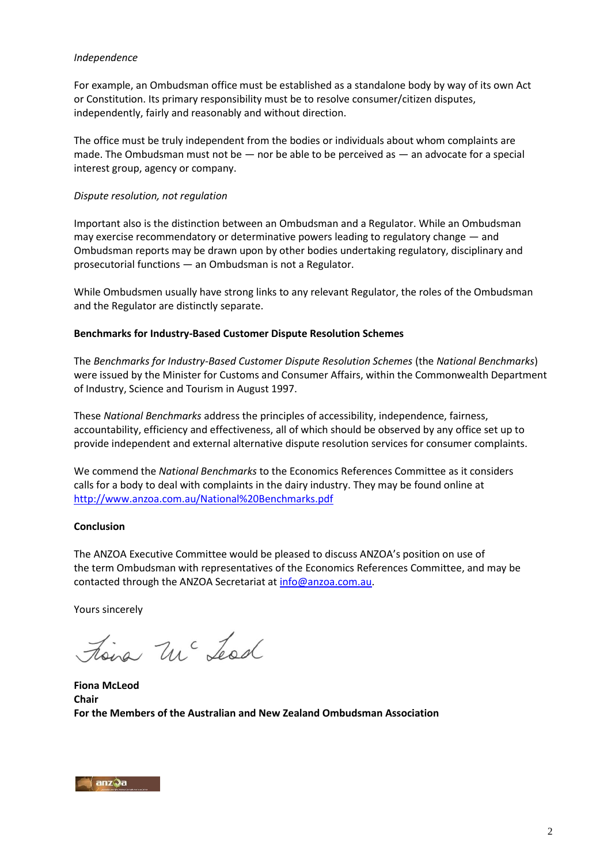#### *Independence*

For example, an Ombudsman office must be established as a standalone body by way of its own Act or Constitution. Its primary responsibility must be to resolve consumer/citizen disputes, independently, fairly and reasonably and without direction.

The office must be truly independent from the bodies or individuals about whom complaints are made. The Ombudsman must not be  $-$  nor be able to be perceived as  $-$  an advocate for a special interest group, agency or company.

#### *Dispute resolution, not regulation*

Important also is the distinction between an Ombudsman and a Regulator. While an Ombudsman may exercise recommendatory or determinative powers leading to regulatory change — and Ombudsman reports may be drawn upon by other bodies undertaking regulatory, disciplinary and prosecutorial functions — an Ombudsman is not a Regulator.

While Ombudsmen usually have strong links to any relevant Regulator, the roles of the Ombudsman and the Regulator are distinctly separate.

#### **Benchmarks for Industry-Based Customer Dispute Resolution Schemes**

The *Benchmarks for Industry-Based Customer Dispute Resolution Schemes* (the *National Benchmarks*) were issued by the Minister for Customs and Consumer Affairs, within the Commonwealth Department of Industry, Science and Tourism in August 1997.

These *National Benchmarks* address the principles of accessibility, independence, fairness, accountability, efficiency and effectiveness, all of which should be observed by any office set up to provide independent and external alternative dispute resolution services for consumer complaints.

We commend the *National Benchmarks* to the Economics References Committee as it considers calls for a body to deal with complaints in the dairy industry. They may be found online at <http://www.anzoa.com.au/National%20Benchmarks.pdf>

#### **Conclusion**

The ANZOA Executive Committee would be pleased to discuss ANZOA's position on use of the term Ombudsman with representatives of the Economics References Committee, and may be contacted through the ANZOA Secretariat a[t info@anzoa.com.au.](mailto:info@anzoa.com.au)

Yours sincerely

tiena Mc Lesd

**Fiona McLeod Chair For the Members of the Australian and New Zealand Ombudsman Association** 

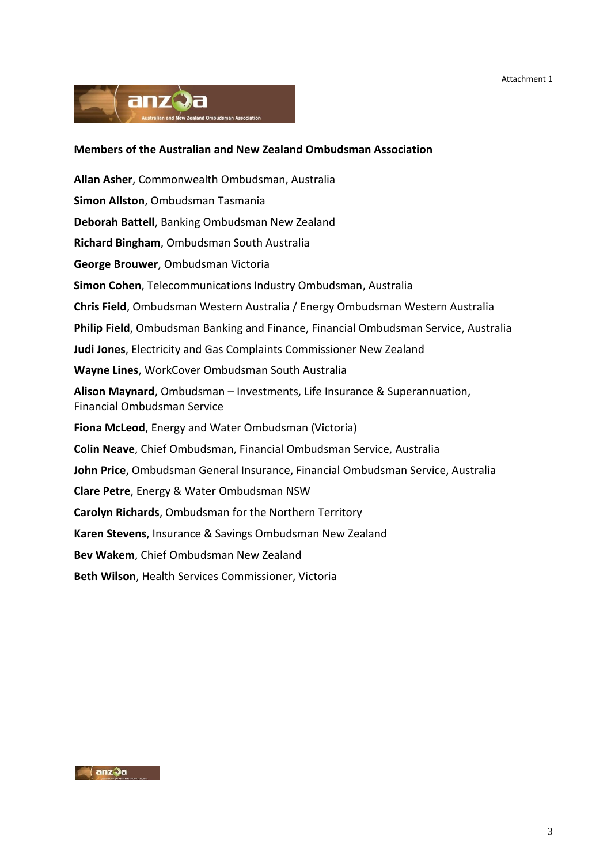

#### **Members of the Australian and New Zealand Ombudsman Association**

**Allan Asher**, Commonwealth Ombudsman, Australia **Simon Allston**, Ombudsman Tasmania **Deborah Battell**, Banking Ombudsman New Zealand **Richard Bingham**, Ombudsman South Australia **George Brouwer**, Ombudsman Victoria **Simon Cohen**, Telecommunications Industry Ombudsman, Australia **Chris Field**, Ombudsman Western Australia / Energy Ombudsman Western Australia **Philip Field**, Ombudsman Banking and Finance, Financial Ombudsman Service, Australia **Judi Jones**, Electricity and Gas Complaints Commissioner New Zealand **Wayne Lines**, WorkCover Ombudsman South Australia **Alison Maynard**, Ombudsman – Investments, Life Insurance & Superannuation, Financial Ombudsman Service **Fiona McLeod**, Energy and Water Ombudsman (Victoria) **Colin Neave**, Chief Ombudsman, Financial Ombudsman Service, Australia **John Price**, Ombudsman General Insurance, Financial Ombudsman Service, Australia **Clare Petre**, Energy & Water Ombudsman NSW **Carolyn Richards**, Ombudsman for the Northern Territory **Karen Stevens**, Insurance & Savings Ombudsman New Zealand **Bev Wakem**, Chief Ombudsman New Zealand **Beth Wilson**, Health Services Commissioner, Victoria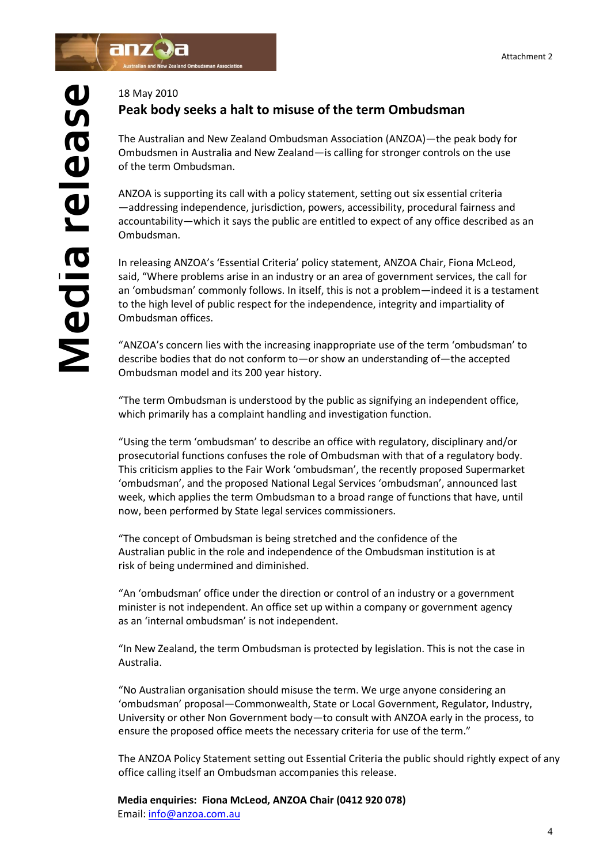



## 18 May 2010

# **Peak body seeks a halt to misuse of the term Ombudsman**

The Australian and New Zealand Ombudsman Association (ANZOA)—the peak body for Ombudsmen in Australia and New Zealand—is calling for stronger controls on the use of the term Ombudsman.

ANZOA is supporting its call with a policy statement, setting out six essential criteria —addressing independence, jurisdiction, powers, accessibility, procedural fairness and accountability—which it says the public are entitled to expect of any office described as an Ombudsman.

In releasing ANZOA's 'Essential Criteria' policy statement, ANZOA Chair, Fiona McLeod, said, "Where problems arise in an industry or an area of government services, the call for an 'ombudsman' commonly follows. In itself, this is not a problem—indeed it is a testament to the high level of public respect for the independence, integrity and impartiality of Ombudsman offices.

"ANZOA's concern lies with the increasing inappropriate use of the term 'ombudsman' to describe bodies that do not conform to—or show an understanding of—the accepted Ombudsman model and its 200 year history.

"The term Ombudsman is understood by the public as signifying an independent office, which primarily has a complaint handling and investigation function.

"Using the term 'ombudsman' to describe an office with regulatory, disciplinary and/or prosecutorial functions confuses the role of Ombudsman with that of a regulatory body. This criticism applies to the Fair Work 'ombudsman', the recently proposed Supermarket 'ombudsman', and the proposed National Legal Services 'ombudsman', announced last week, which applies the term Ombudsman to a broad range of functions that have, until now, been performed by State legal services commissioners.

"The concept of Ombudsman is being stretched and the confidence of the Australian public in the role and independence of the Ombudsman institution is at risk of being undermined and diminished.

"An 'ombudsman' office under the direction or control of an industry or a government minister is not independent. An office set up within a company or government agency as an 'internal ombudsman' is not independent.

"In New Zealand, the term Ombudsman is protected by legislation. This is not the case in Australia.

"No Australian organisation should misuse the term. We urge anyone considering an 'ombudsman' proposal—Commonwealth, State or Local Government, Regulator, Industry, University or other Non Government body—to consult with ANZOA early in the process, to ensure the proposed office meets the necessary criteria for use of the term."

The ANZOA Policy Statement setting out Essential Criteria the public should rightly expect of any office calling itself an Ombudsman accompanies this release.

**Media enquiries: Fiona McLeod, ANZOA Chair (0412 920 078)** Email[: info@anzoa.com.au](mailto:info@anzoa.com.au)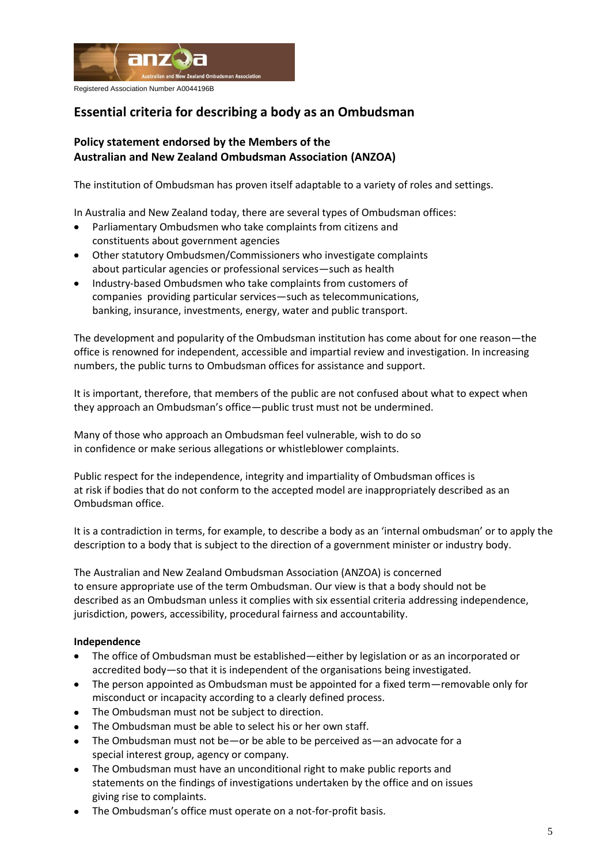

# **Essential criteria for describing a body as an Ombudsman**

## **Policy statement endorsed by the Members of the Australian and New Zealand Ombudsman Association (ANZOA)**

The institution of Ombudsman has proven itself adaptable to a variety of roles and settings.

In Australia and New Zealand today, there are several types of Ombudsman offices:

- Parliamentary Ombudsmen who take complaints from citizens and  $\bullet$ constituents about government agencies
- Other statutory Ombudsmen/Commissioners who investigate complaints about particular agencies or professional services—such as health
- Industry-based Ombudsmen who take complaints from customers of companies providing particular services—such as telecommunications, banking, insurance, investments, energy, water and public transport.

The development and popularity of the Ombudsman institution has come about for one reason—the office is renowned for independent, accessible and impartial review and investigation. In increasing numbers, the public turns to Ombudsman offices for assistance and support.

It is important, therefore, that members of the public are not confused about what to expect when they approach an Ombudsman's office—public trust must not be undermined.

Many of those who approach an Ombudsman feel vulnerable, wish to do so in confidence or make serious allegations or whistleblower complaints.

Public respect for the independence, integrity and impartiality of Ombudsman offices is at risk if bodies that do not conform to the accepted model are inappropriately described as an Ombudsman office.

It is a contradiction in terms, for example, to describe a body as an 'internal ombudsman' or to apply the description to a body that is subject to the direction of a government minister or industry body.

The Australian and New Zealand Ombudsman Association (ANZOA) is concerned to ensure appropriate use of the term Ombudsman. Our view is that a body should not be described as an Ombudsman unless it complies with six essential criteria addressing independence, jurisdiction, powers, accessibility, procedural fairness and accountability.

## **Independence**

- The office of Ombudsman must be established—either by legislation or as an incorporated or accredited body—so that it is independent of the organisations being investigated.
- The person appointed as Ombudsman must be appointed for a fixed term—removable only for misconduct or incapacity according to a clearly defined process.
- The Ombudsman must not be subject to direction.
- The Ombudsman must be able to select his or her own staff.
- The Ombudsman must not be—or be able to be perceived as—an advocate for a special interest group, agency or company.
- The Ombudsman must have an unconditional right to make public reports and statements on the findings of investigations undertaken by the office and on issues giving rise to complaints.
- The Ombudsman's office must operate on a not-for-profit basis.